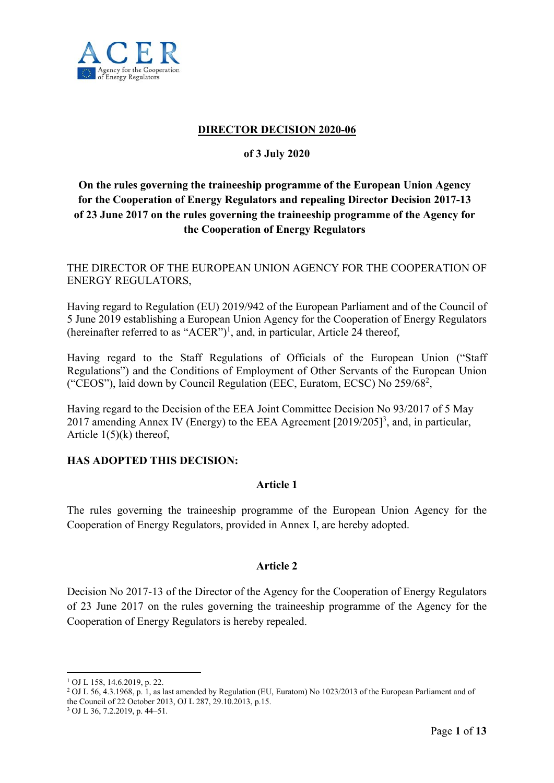

#### **DIRECTOR DECISION 2020-06**

#### **of 3 July 2020**

# **On the rules governing the traineeship programme of the European Union Agency for the Cooperation of Energy Regulators and repealing Director Decision 2017-13 of 23 June 2017 on the rules governing the traineeship programme of the Agency for the Cooperation of Energy Regulators**

THE DIRECTOR OF THE EUROPEAN UNION AGENCY FOR THE COOPERATION OF ENERGY REGULATORS,

Having regard to Regulation (EU) 2019/942 of the European Parliament and of the Council of 5 June 2019 establishing a European Union Agency for the Cooperation of Energy Regulators (hereinafter referred to as "ACER")<sup>1</sup>, and, in particular, Article 24 thereof,

Having regard to the Staff Regulations of Officials of the European Union ("Staff Regulations") and the Conditions of Employment of Other Servants of the European Union ("CEOS"), laid down by Council Regulation (EEC, Euratom, ECSC) No 259/68<sup>2</sup>,

Having regard to the Decision of the EEA Joint Committee Decision No 93/2017 of 5 May 2017 amending Annex IV (Energy) to the EEA Agreement [2019/205]<sup>3</sup>, and, in particular, Article  $1(5)(k)$  thereof,

#### **HAS ADOPTED THIS DECISION:**

#### **Article 1**

The rules governing the traineeship programme of the European Union Agency for the Cooperation of Energy Regulators, provided in Annex I, are hereby adopted.

### **Article 2**

Decision No 2017-13 of the Director of the Agency for the Cooperation of Energy Regulators of 23 June 2017 on the rules governing the traineeship programme of the Agency for the Cooperation of Energy Regulators is hereby repealed.

1 OJ L 158, 14.6.2019, p. 22.

1

<sup>&</sup>lt;sup>2</sup> OJ L 56, 4.3.1968, p. 1, as last amended by Regulation (EU, Euratom) No 1023/2013 of the European Parliament and of the Council of 22 October 2013, OJ L 287, 29.10.2013, p.15. 3 OJ L 36, 7.2.2019, p. 44–51.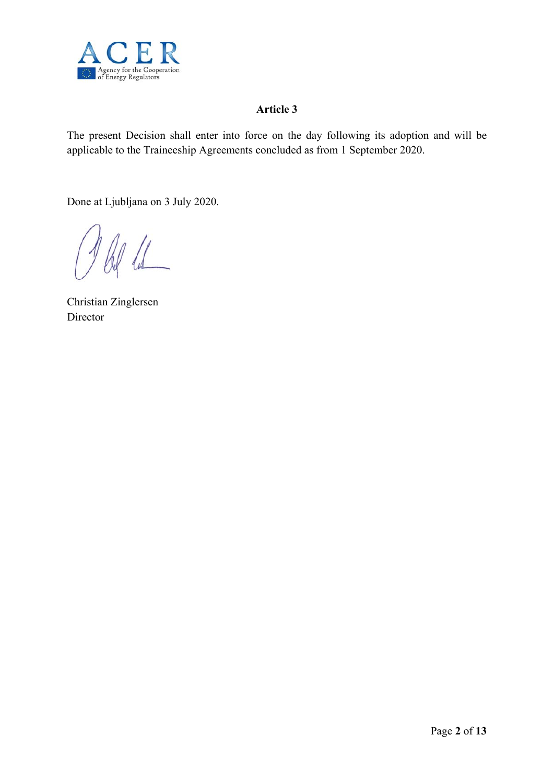

# **Article 3**

The present Decision shall enter into force on the day following its adoption and will be applicable to the Traineeship Agreements concluded as from 1 September 2020.

Done at Ljubljana on 3 July 2020.

Christian Zinglersen Director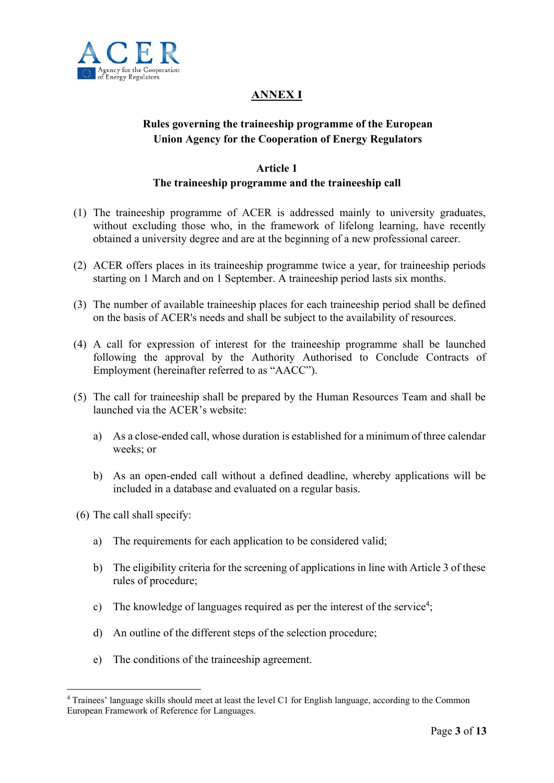

# **ANNEX I**

# **Rules governing the traineeship programme of the European Union Agency for the Cooperation of Energy Regulators**

## **Article 1**

## **The traineeship programme and the traineeship call**

- (1) The traineeship programme of ACER is addressed mainly to university graduates, without excluding those who, in the framework of lifelong learning, have recently obtained a university degree and are at the beginning of a new professional career.
- (2) ACER offers places in its traineeship programme twice a year, for traineeship periods starting on 1 March and on 1 September. A traineeship period lasts six months.
- (3) The number of available traineeship places for each traineeship period shall be defined on the basis of ACER's needs and shall be subject to the availability of resources.
- (4) A call for expression of interest for the traineeship programme shall be launched following the approval by the Authority Authorised to Conclude Contracts of Employment (hereinafter referred to as "AACC").
- (5) The call for traineeship shall be prepared by the Human Resources Team and shall be launched via the ACER's website:
	- a) As a close-ended call, whose duration is established for a minimum of three calendar weeks; or
	- b) As an open-ended call without a defined deadline, whereby applications will be included in a database and evaluated on a regular basis.
- (6) The call shall specify:

1

- a) The requirements for each application to be considered valid;
- b) The eligibility criteria for the screening of applications in line with Article 3 of these rules of procedure;
- c) The knowledge of languages required as per the interest of the service<sup>4</sup>;
- d) An outline of the different steps of the selection procedure;
- e) The conditions of the traineeship agreement.

<sup>4</sup> Trainees' language skills should meet at least the level C1 for English language, according to the Common European Framework of Reference for Languages.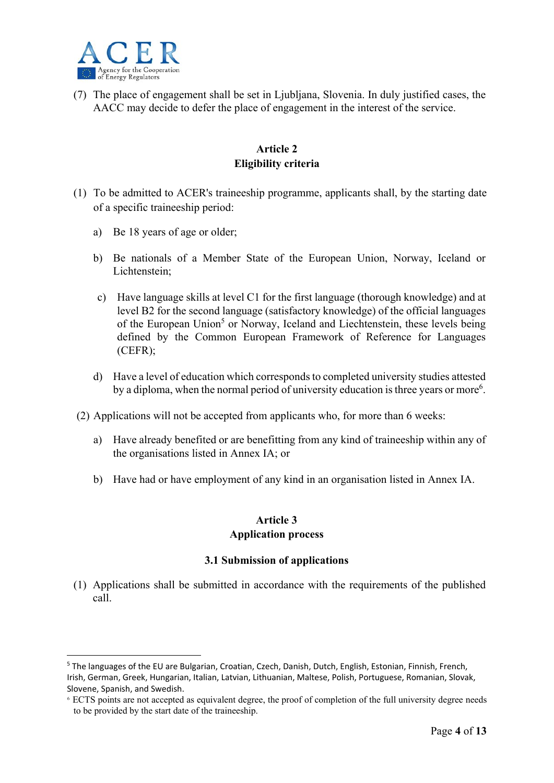

1

(7) The place of engagement shall be set in Ljubljana, Slovenia. In duly justified cases, the AACC may decide to defer the place of engagement in the interest of the service.

## **Article 2 Eligibility criteria**

- (1) To be admitted to ACER's traineeship programme, applicants shall, by the starting date of a specific traineeship period:
	- a) Be 18 years of age or older;
	- b) Be nationals of a Member State of the European Union, Norway, Iceland or Lichtenstein;
	- c) Have language skills at level C1 for the first language (thorough knowledge) and at level B2 for the second language (satisfactory knowledge) of the official languages of the European Union<sup>5</sup> or Norway, Iceland and Liechtenstein, these levels being defined by the Common European Framework of Reference for Languages (CEFR);
	- d) Have a level of education which corresponds to completed university studies attested by a diploma, when the normal period of university education is three years or more<sup>6</sup>.
- (2) Applications will not be accepted from applicants who, for more than 6 weeks:
	- a) Have already benefited or are benefitting from any kind of traineeship within any of the organisations listed in Annex IA; or
	- b) Have had or have employment of any kind in an organisation listed in Annex IA.

### **Article 3 Application process**

### **3.1 Submission of applications**

(1) Applications shall be submitted in accordance with the requirements of the published call.

<sup>&</sup>lt;sup>5</sup> The languages of the EU are Bulgarian, Croatian, Czech, Danish, Dutch, English, Estonian, Finnish, French, Irish, German, Greek, Hungarian, Italian, Latvian, Lithuanian, Maltese, Polish, Portuguese, Romanian, Slovak, Slovene, Spanish, and Swedish.

<sup>6</sup> ECTS points are not accepted as equivalent degree, the proof of completion of the full university degree needs to be provided by the start date of the traineeship.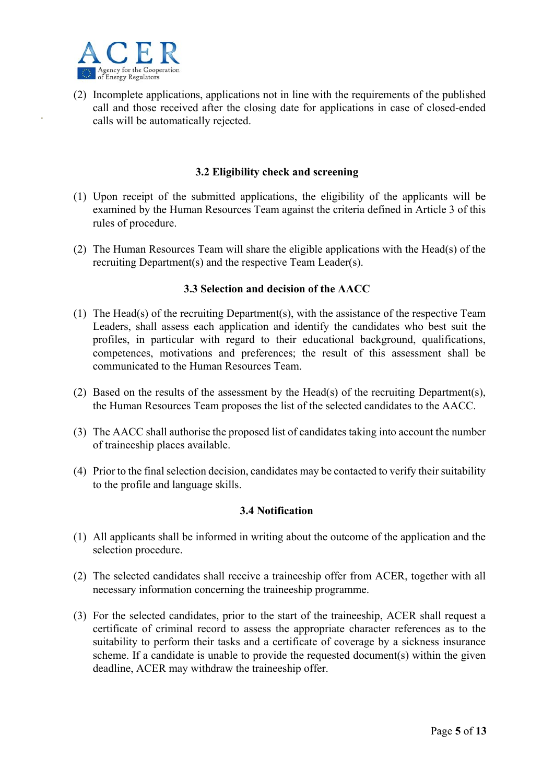

(2) Incomplete applications, applications not in line with the requirements of the published call and those received after the closing date for applications in case of closed-ended calls will be automatically rejected.

#### **3.2 Eligibility check and screening**

- (1) Upon receipt of the submitted applications, the eligibility of the applicants will be examined by the Human Resources Team against the criteria defined in Article 3 of this rules of procedure.
- (2) The Human Resources Team will share the eligible applications with the Head(s) of the recruiting Department(s) and the respective Team Leader(s).

#### **3.3 Selection and decision of the AACC**

- (1) The Head(s) of the recruiting Department(s), with the assistance of the respective Team Leaders, shall assess each application and identify the candidates who best suit the profiles, in particular with regard to their educational background, qualifications, competences, motivations and preferences; the result of this assessment shall be communicated to the Human Resources Team.
- (2) Based on the results of the assessment by the Head(s) of the recruiting Department(s), the Human Resources Team proposes the list of the selected candidates to the AACC.
- (3) The AACC shall authorise the proposed list of candidates taking into account the number of traineeship places available.
- (4) Prior to the final selection decision, candidates may be contacted to verify their suitability to the profile and language skills.

#### **3.4 Notification**

- (1) All applicants shall be informed in writing about the outcome of the application and the selection procedure.
- (2) The selected candidates shall receive a traineeship offer from ACER, together with all necessary information concerning the traineeship programme.
- (3) For the selected candidates, prior to the start of the traineeship, ACER shall request a certificate of criminal record to assess the appropriate character references as to the suitability to perform their tasks and a certificate of coverage by a sickness insurance scheme. If a candidate is unable to provide the requested document(s) within the given deadline, ACER may withdraw the traineeship offer.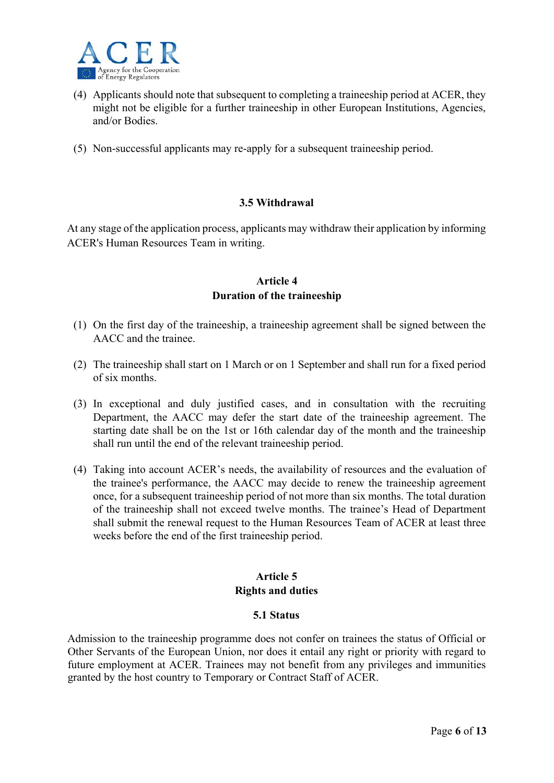

- (4) Applicants should note that subsequent to completing a traineeship period at ACER, they might not be eligible for a further traineeship in other European Institutions, Agencies, and/or Bodies.
- (5) Non-successful applicants may re-apply for a subsequent traineeship period.

### **3.5 Withdrawal**

At any stage of the application process, applicants may withdraw their application by informing ACER's Human Resources Team in writing.

### **Article 4 Duration of the traineeship**

- (1) On the first day of the traineeship, a traineeship agreement shall be signed between the AACC and the trainee.
- (2) The traineeship shall start on 1 March or on 1 September and shall run for a fixed period of six months.
- (3) In exceptional and duly justified cases, and in consultation with the recruiting Department, the AACC may defer the start date of the traineeship agreement. The starting date shall be on the 1st or 16th calendar day of the month and the traineeship shall run until the end of the relevant traineeship period.
- (4) Taking into account ACER's needs, the availability of resources and the evaluation of the trainee's performance, the AACC may decide to renew the traineeship agreement once, for a subsequent traineeship period of not more than six months. The total duration of the traineeship shall not exceed twelve months. The trainee's Head of Department shall submit the renewal request to the Human Resources Team of ACER at least three weeks before the end of the first traineeship period.

### **Article 5 Rights and duties**

#### **5.1 Status**

Admission to the traineeship programme does not confer on trainees the status of Official or Other Servants of the European Union, nor does it entail any right or priority with regard to future employment at ACER. Trainees may not benefit from any privileges and immunities granted by the host country to Temporary or Contract Staff of ACER.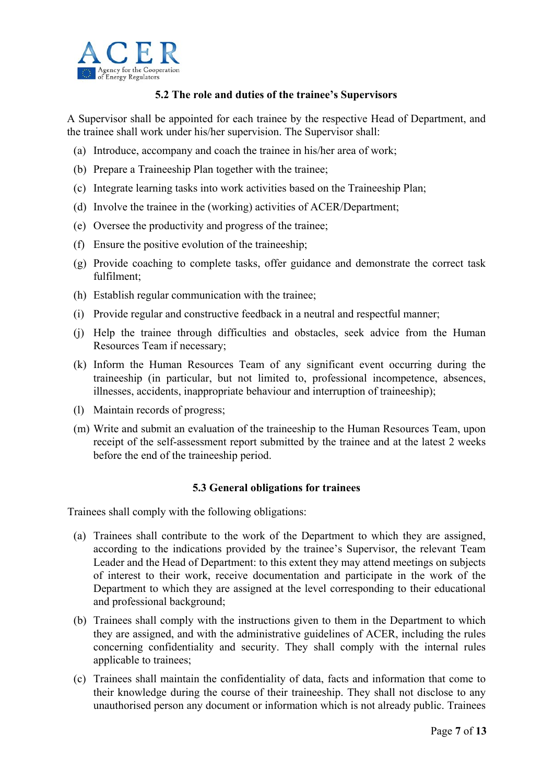

### **5.2 The role and duties of the trainee's Supervisors**

A Supervisor shall be appointed for each trainee by the respective Head of Department, and the trainee shall work under his/her supervision. The Supervisor shall:

- (a) Introduce, accompany and coach the trainee in his/her area of work;
- (b) Prepare a Traineeship Plan together with the trainee;
- (c) Integrate learning tasks into work activities based on the Traineeship Plan;
- (d) Involve the trainee in the (working) activities of ACER/Department;
- (e) Oversee the productivity and progress of the trainee;
- (f) Ensure the positive evolution of the traineeship;
- (g) Provide coaching to complete tasks, offer guidance and demonstrate the correct task fulfilment;
- (h) Establish regular communication with the trainee;
- (i) Provide regular and constructive feedback in a neutral and respectful manner;
- (j) Help the trainee through difficulties and obstacles, seek advice from the Human Resources Team if necessary;
- (k) Inform the Human Resources Team of any significant event occurring during the traineeship (in particular, but not limited to, professional incompetence, absences, illnesses, accidents, inappropriate behaviour and interruption of traineeship);
- (l) Maintain records of progress;
- (m) Write and submit an evaluation of the traineeship to the Human Resources Team, upon receipt of the self-assessment report submitted by the trainee and at the latest 2 weeks before the end of the traineeship period.

### **5.3 General obligations for trainees**

Trainees shall comply with the following obligations:

- (a) Trainees shall contribute to the work of the Department to which they are assigned, according to the indications provided by the trainee's Supervisor, the relevant Team Leader and the Head of Department: to this extent they may attend meetings on subjects of interest to their work, receive documentation and participate in the work of the Department to which they are assigned at the level corresponding to their educational and professional background;
- (b) Trainees shall comply with the instructions given to them in the Department to which they are assigned, and with the administrative guidelines of ACER, including the rules concerning confidentiality and security. They shall comply with the internal rules applicable to trainees;
- (c) Trainees shall maintain the confidentiality of data, facts and information that come to their knowledge during the course of their traineeship. They shall not disclose to any unauthorised person any document or information which is not already public. Trainees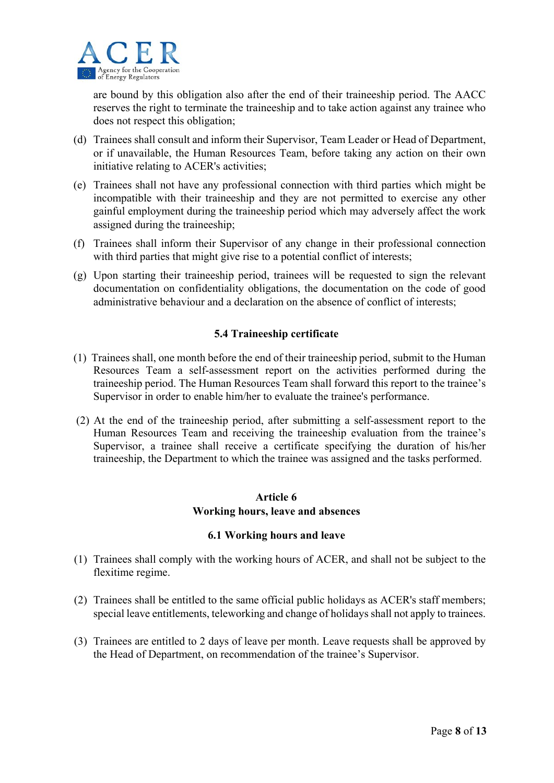

are bound by this obligation also after the end of their traineeship period. The AACC reserves the right to terminate the traineeship and to take action against any trainee who does not respect this obligation;

- (d) Trainees shall consult and inform their Supervisor, Team Leader or Head of Department, or if unavailable, the Human Resources Team, before taking any action on their own initiative relating to ACER's activities;
- (e) Trainees shall not have any professional connection with third parties which might be incompatible with their traineeship and they are not permitted to exercise any other gainful employment during the traineeship period which may adversely affect the work assigned during the traineeship;
- (f) Trainees shall inform their Supervisor of any change in their professional connection with third parties that might give rise to a potential conflict of interests;
- (g) Upon starting their traineeship period, trainees will be requested to sign the relevant documentation on confidentiality obligations, the documentation on the code of good administrative behaviour and a declaration on the absence of conflict of interests;

#### **5.4 Traineeship certificate**

- (1) Trainees shall, one month before the end of their traineeship period, submit to the Human Resources Team a self-assessment report on the activities performed during the traineeship period. The Human Resources Team shall forward this report to the trainee's Supervisor in order to enable him/her to evaluate the trainee's performance.
- (2) At the end of the traineeship period, after submitting a self-assessment report to the Human Resources Team and receiving the traineeship evaluation from the trainee's Supervisor, a trainee shall receive a certificate specifying the duration of his/her traineeship, the Department to which the trainee was assigned and the tasks performed.

### **Article 6 Working hours, leave and absences**

#### **6.1 Working hours and leave**

- (1) Trainees shall comply with the working hours of ACER, and shall not be subject to the flexitime regime.
- (2) Trainees shall be entitled to the same official public holidays as ACER's staff members; special leave entitlements, teleworking and change of holidays shall not apply to trainees.
- (3) Trainees are entitled to 2 days of leave per month. Leave requests shall be approved by the Head of Department, on recommendation of the trainee's Supervisor.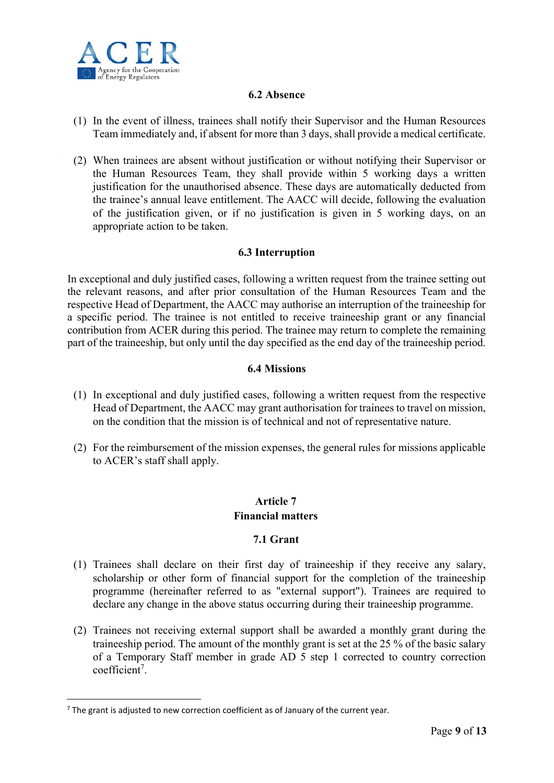

#### **6.2 Absence**

- (1) In the event of illness, trainees shall notify their Supervisor and the Human Resources Team immediately and, if absent for more than 3 days, shall provide a medical certificate.
- (2) When trainees are absent without justification or without notifying their Supervisor or the Human Resources Team, they shall provide within 5 working days a written justification for the unauthorised absence. These days are automatically deducted from the trainee's annual leave entitlement. The AACC will decide, following the evaluation of the justification given, or if no justification is given in 5 working days, on an appropriate action to be taken.

#### **6.3 Interruption**

In exceptional and duly justified cases, following a written request from the trainee setting out the relevant reasons, and after prior consultation of the Human Resources Team and the respective Head of Department, the AACC may authorise an interruption of the traineeship for a specific period. The trainee is not entitled to receive traineeship grant or any financial contribution from ACER during this period. The trainee may return to complete the remaining part of the traineeship, but only until the day specified as the end day of the traineeship period.

#### **6.4 Missions**

- (1) In exceptional and duly justified cases, following a written request from the respective Head of Department, the AACC may grant authorisation for trainees to travel on mission, on the condition that the mission is of technical and not of representative nature.
- (2) For the reimbursement of the mission expenses, the general rules for missions applicable to ACER's staff shall apply.

### **Article 7 Financial matters**

### **7.1 Grant**

- (1) Trainees shall declare on their first day of traineeship if they receive any salary, scholarship or other form of financial support for the completion of the traineeship programme (hereinafter referred to as "external support"). Trainees are required to declare any change in the above status occurring during their traineeship programme.
- (2) Trainees not receiving external support shall be awarded a monthly grant during the traineeship period. The amount of the monthly grant is set at the 25 % of the basic salary of a Temporary Staff member in grade AD 5 step 1 corrected to country correction coefficient<sup>7</sup>.

<u>.</u>

 $7$  The grant is adjusted to new correction coefficient as of January of the current year.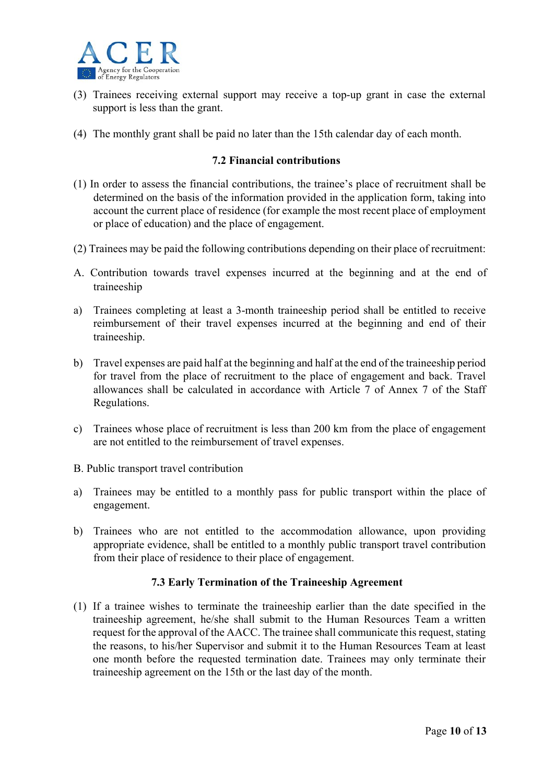

- (3) Trainees receiving external support may receive a top-up grant in case the external support is less than the grant.
- (4) The monthly grant shall be paid no later than the 15th calendar day of each month.

#### **7.2 Financial contributions**

- (1) In order to assess the financial contributions, the trainee's place of recruitment shall be determined on the basis of the information provided in the application form, taking into account the current place of residence (for example the most recent place of employment or place of education) and the place of engagement.
- (2) Trainees may be paid the following contributions depending on their place of recruitment:
- A. Contribution towards travel expenses incurred at the beginning and at the end of traineeship
- a) Trainees completing at least a 3-month traineeship period shall be entitled to receive reimbursement of their travel expenses incurred at the beginning and end of their traineeship.
- b) Travel expenses are paid half at the beginning and half at the end of the traineeship period for travel from the place of recruitment to the place of engagement and back. Travel allowances shall be calculated in accordance with Article 7 of Annex 7 of the Staff Regulations.
- c) Trainees whose place of recruitment is less than 200 km from the place of engagement are not entitled to the reimbursement of travel expenses.
- B. Public transport travel contribution
- a) Trainees may be entitled to a monthly pass for public transport within the place of engagement.
- b) Trainees who are not entitled to the accommodation allowance, upon providing appropriate evidence, shall be entitled to a monthly public transport travel contribution from their place of residence to their place of engagement.

#### **7.3 Early Termination of the Traineeship Agreement**

(1) If a trainee wishes to terminate the traineeship earlier than the date specified in the traineeship agreement, he/she shall submit to the Human Resources Team a written request for the approval of the AACC. The trainee shall communicate this request, stating the reasons, to his/her Supervisor and submit it to the Human Resources Team at least one month before the requested termination date. Trainees may only terminate their traineeship agreement on the 15th or the last day of the month.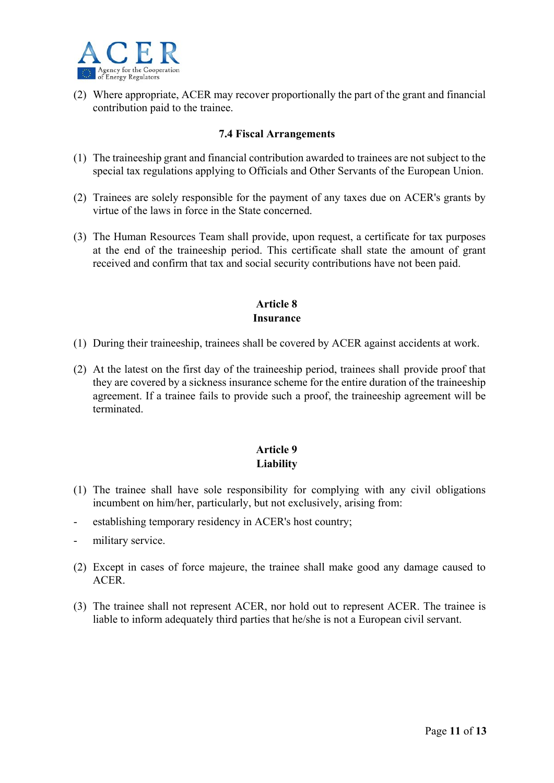

(2) Where appropriate, ACER may recover proportionally the part of the grant and financial contribution paid to the trainee.

#### **7.4 Fiscal Arrangements**

- (1) The traineeship grant and financial contribution awarded to trainees are not subject to the special tax regulations applying to Officials and Other Servants of the European Union.
- (2) Trainees are solely responsible for the payment of any taxes due on ACER's grants by virtue of the laws in force in the State concerned.
- (3) The Human Resources Team shall provide, upon request, a certificate for tax purposes at the end of the traineeship period. This certificate shall state the amount of grant received and confirm that tax and social security contributions have not been paid.

# **Article 8 Insurance**

- (1) During their traineeship, trainees shall be covered by ACER against accidents at work.
- (2) At the latest on the first day of the traineeship period, trainees shall provide proof that they are covered by a sickness insurance scheme for the entire duration of the traineeship agreement. If a trainee fails to provide such a proof, the traineeship agreement will be terminated.

## **Article 9 Liability**

- (1) The trainee shall have sole responsibility for complying with any civil obligations incumbent on him/her, particularly, but not exclusively, arising from:
- establishing temporary residency in ACER's host country;
- military service.
- (2) Except in cases of force majeure, the trainee shall make good any damage caused to ACER.
- (3) The trainee shall not represent ACER, nor hold out to represent ACER. The trainee is liable to inform adequately third parties that he/she is not a European civil servant.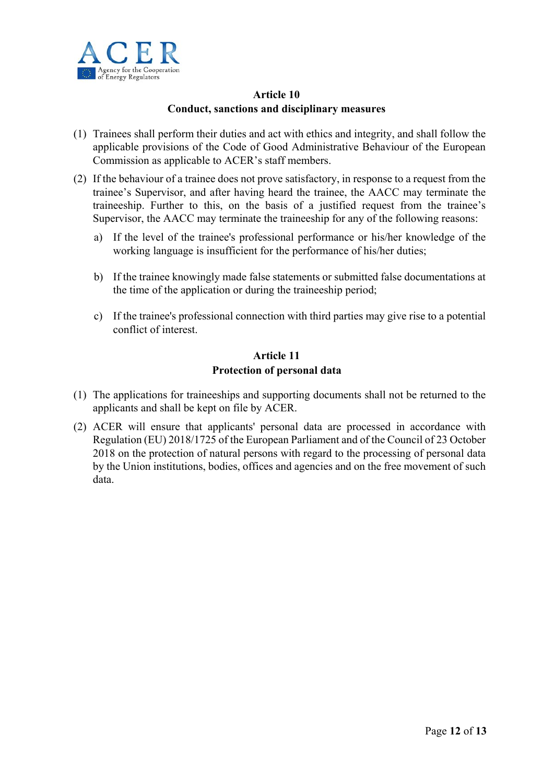

# **Article 10 Conduct, sanctions and disciplinary measures**

- (1) Trainees shall perform their duties and act with ethics and integrity, and shall follow the applicable provisions of the Code of Good Administrative Behaviour of the European Commission as applicable to ACER's staff members.
- (2) If the behaviour of a trainee does not prove satisfactory, in response to a request from the trainee's Supervisor, and after having heard the trainee, the AACC may terminate the traineeship. Further to this, on the basis of a justified request from the trainee's Supervisor, the AACC may terminate the traineeship for any of the following reasons:
	- a) If the level of the trainee's professional performance or his/her knowledge of the working language is insufficient for the performance of his/her duties;
	- b) If the trainee knowingly made false statements or submitted false documentations at the time of the application or during the traineeship period;
	- c) If the trainee's professional connection with third parties may give rise to a potential conflict of interest.

#### **Article 11 Protection of personal data**

- (1) The applications for traineeships and supporting documents shall not be returned to the applicants and shall be kept on file by ACER.
- (2) ACER will ensure that applicants' personal data are processed in accordance with Regulation (EU) 2018/1725 of the European Parliament and of the Council of 23 October 2018 on the protection of natural persons with regard to the processing of personal data by the Union institutions, bodies, offices and agencies and on the free movement of such data.